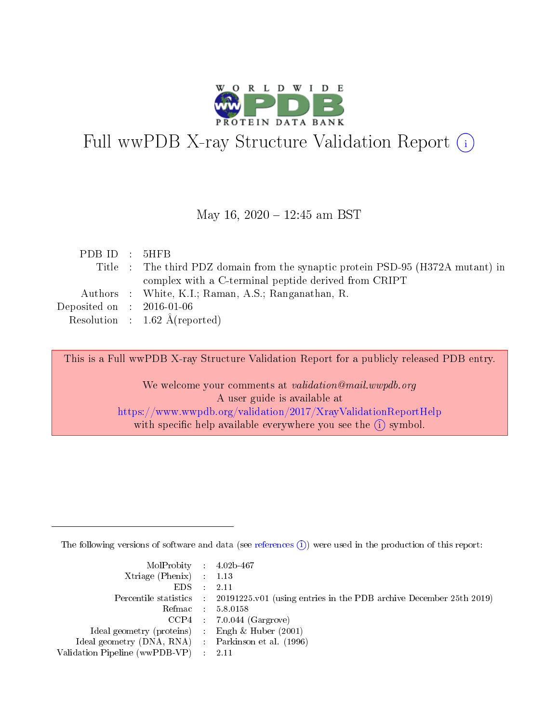

# Full wwPDB X-ray Structure Validation Report (i)

#### May 16, 2020 - 12:45 am BST

| PDBID : 5HFB                         |                                                                                 |
|--------------------------------------|---------------------------------------------------------------------------------|
|                                      | Title : The third PDZ domain from the synaptic protein PSD-95 (H372A mutant) in |
|                                      | complex with a C-terminal peptide derived from CRIPT                            |
|                                      | Authors : White, K.I.; Raman, A.S.; Ranganathan, R.                             |
| Deposited on $\therefore$ 2016-01-06 |                                                                                 |
|                                      | Resolution : $1.62 \text{ Å}$ (reported)                                        |

This is a Full wwPDB X-ray Structure Validation Report for a publicly released PDB entry.

We welcome your comments at validation@mail.wwpdb.org A user guide is available at <https://www.wwpdb.org/validation/2017/XrayValidationReportHelp> with specific help available everywhere you see the  $(i)$  symbol.

The following versions of software and data (see [references](https://www.wwpdb.org/validation/2017/XrayValidationReportHelp#references)  $(i)$ ) were used in the production of this report:

| $MolProbability$ 4.02b-467                          |                                                                                            |
|-----------------------------------------------------|--------------------------------------------------------------------------------------------|
| Xtriage (Phenix) $: 1.13$                           |                                                                                            |
| $EDS$ :                                             | -2.11                                                                                      |
|                                                     | Percentile statistics : 20191225.v01 (using entries in the PDB archive December 25th 2019) |
|                                                     | Refmac : 5.8.0158                                                                          |
|                                                     | $CCP4$ : 7.0.044 (Gargrove)                                                                |
| Ideal geometry (proteins) : Engh $\&$ Huber (2001)  |                                                                                            |
| Ideal geometry (DNA, RNA) : Parkinson et al. (1996) |                                                                                            |
| Validation Pipeline (wwPDB-VP)                      | -2.11                                                                                      |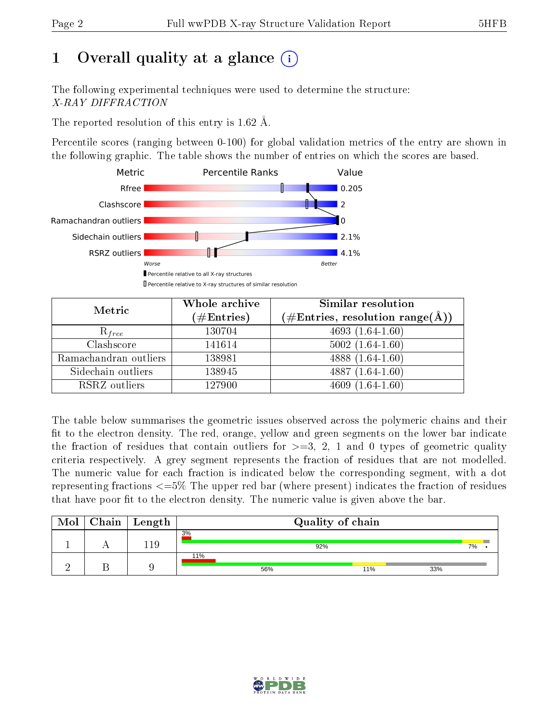# 1 [O](https://www.wwpdb.org/validation/2017/XrayValidationReportHelp#overall_quality)verall quality at a glance  $(i)$

The following experimental techniques were used to determine the structure: X-RAY DIFFRACTION

The reported resolution of this entry is 1.62 Å.

Percentile scores (ranging between 0-100) for global validation metrics of the entry are shown in the following graphic. The table shows the number of entries on which the scores are based.



| Metric                | Whole archive<br>$(\#\text{Entries})$ | Similar resolution<br>$(\#\text{Entries},\, \text{resolution}\; \text{range}(\textup{\AA}))$ |  |  |
|-----------------------|---------------------------------------|----------------------------------------------------------------------------------------------|--|--|
| $R_{free}$            | 130704                                | $4693(1.64-1.60)$                                                                            |  |  |
| Clashscore            | 141614                                | $5002(1.64-1.60)$                                                                            |  |  |
| Ramachandran outliers | 138981                                | 4888 $(1.64-1.60)$                                                                           |  |  |
| Sidechain outliers    | 138945                                | $4887(1.64-1.60)$                                                                            |  |  |
| RSRZ outliers         | 127900                                | $4609(1.64-1.60)$                                                                            |  |  |

The table below summarises the geometric issues observed across the polymeric chains and their fit to the electron density. The red, orange, yellow and green segments on the lower bar indicate the fraction of residues that contain outliers for  $>=3, 2, 1$  and 0 types of geometric quality criteria respectively. A grey segment represents the fraction of residues that are not modelled. The numeric value for each fraction is indicated below the corresponding segment, with a dot representing fractions  $\epsilon=5\%$  The upper red bar (where present) indicates the fraction of residues that have poor fit to the electron density. The numeric value is given above the bar.

| Mol | ${\bf Chain \mid Length}$ | Quality of chain |     |     |  |  |  |
|-----|---------------------------|------------------|-----|-----|--|--|--|
|     | ⊥19                       | 3%               | 92% | 7%  |  |  |  |
|     |                           | 11%<br>56%       | 11% | 33% |  |  |  |

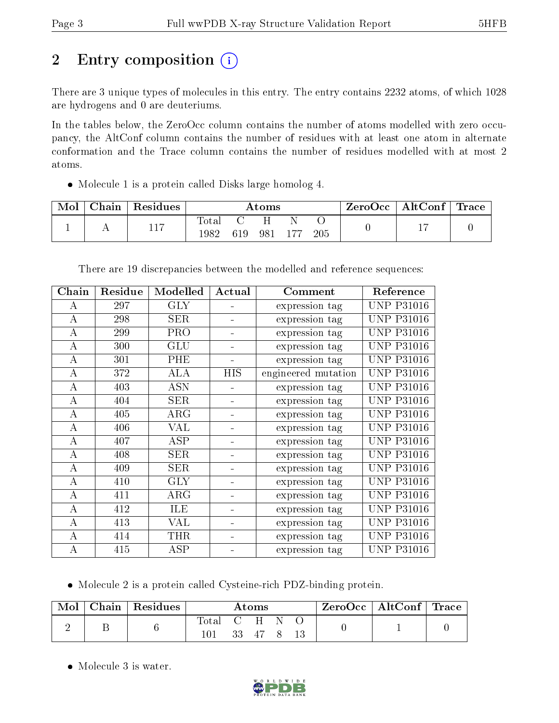# 2 Entry composition (i)

There are 3 unique types of molecules in this entry. The entry contains 2232 atoms, of which 1028 are hydrogens and 0 are deuteriums.

In the tables below, the ZeroOcc column contains the number of atoms modelled with zero occupancy, the AltConf column contains the number of residues with at least one atom in alternate conformation and the Trace column contains the number of residues modelled with at most 2 atoms.

• Molecule 1 is a protein called Disks large homolog 4.

| Mol | Chain | Residues | $\rm{Atoms}$        |     |     |     |     | $\text{ZeroOcc}$   AltConf   Trace |  |
|-----|-------|----------|---------------------|-----|-----|-----|-----|------------------------------------|--|
|     |       | 117      | $\rm Total$<br>1982 | 619 | 981 | 177 | 205 |                                    |  |

| Chain    | Residue | Modelled   | Actual | Comment             | Reference         |
|----------|---------|------------|--------|---------------------|-------------------|
| А        | 297     | <b>GLY</b> |        | expression tag      | <b>UNP P31016</b> |
| А        | 298     | <b>SER</b> |        | expression tag      | <b>UNP P31016</b> |
| $\bf{A}$ | 299     | PRO        |        | expression tag      | <b>UNP P31016</b> |
| A        | 300     | GLU        |        | expression tag      | UNP P31016        |
| A        | 301     | PHE        |        | expression tag      | <b>UNP P31016</b> |
| $\bf{A}$ | 372     | <b>ALA</b> | HIS    | engineered mutation | <b>UNP P31016</b> |
| $\bf{A}$ | 403     | <b>ASN</b> |        | expression tag      | <b>UNP P31016</b> |
| A        | 404     | <b>SER</b> |        | expression tag      | <b>UNP P31016</b> |
| А        | 405     | ARG        |        | expression tag      | <b>UNP P31016</b> |
| А        | 406     | VAL        |        | expression tag      | <b>UNP P31016</b> |
| А        | 407     | ASP        |        | expression tag      | <b>UNP P31016</b> |
| A        | 408     | <b>SER</b> |        | expression tag      | UNP P31016        |
| А        | 409     | SER        |        | expression tag      | <b>UNP P31016</b> |
| $\bf{A}$ | 410     | <b>GLY</b> | ÷      | expression tag      | <b>UNP P31016</b> |
| A        | 411     | $\rm{ARG}$ |        | expression tag      | UNP P31016        |
| A        | 412     | ILE        |        | expression tag      | <b>UNP P31016</b> |
| А        | 413     | VAL        |        | expression tag      | <b>UNP P31016</b> |
| А        | 414     | THR        |        | expression tag      | <b>UNP P31016</b> |
| А        | 415     | ASP        |        | expression tag      | <b>UNP P31016</b> |

There are 19 discrepancies between the modelled and reference sequences:

Molecule 2 is a protein called Cysteine-rich PDZ-binding protein.

| Mol | Chain   Residues | Atoms |           |    |  |  | $\text{ZeroOcc}$   AltConf   Trace |  |
|-----|------------------|-------|-----------|----|--|--|------------------------------------|--|
|     |                  | Total | ( H<br>33 | 47 |  |  |                                    |  |

• Molecule 3 is water.

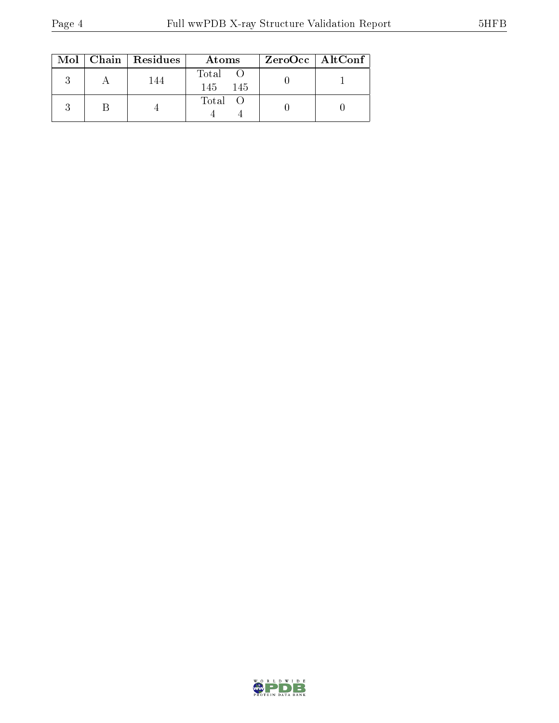|  | $Mol$   Chain   Residues | Atoms                | ZeroOcc   AltConf |
|--|--------------------------|----------------------|-------------------|
|  | 144                      | Total<br>145<br>-145 |                   |
|  |                          | Total O              |                   |

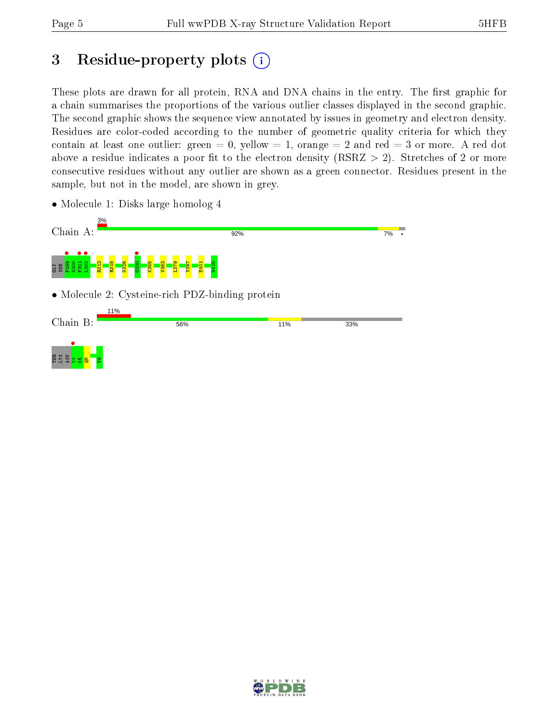## 3 Residue-property plots  $(i)$

These plots are drawn for all protein, RNA and DNA chains in the entry. The first graphic for a chain summarises the proportions of the various outlier classes displayed in the second graphic. The second graphic shows the sequence view annotated by issues in geometry and electron density. Residues are color-coded according to the number of geometric quality criteria for which they contain at least one outlier: green  $= 0$ , yellow  $= 1$ , orange  $= 2$  and red  $= 3$  or more. A red dot above a residue indicates a poor fit to the electron density (RSRZ  $> 2$ ). Stretches of 2 or more consecutive residues without any outlier are shown as a green connector. Residues present in the sample, but not in the model, are shown in grey.

• Molecule 1: Disks large homolog 4



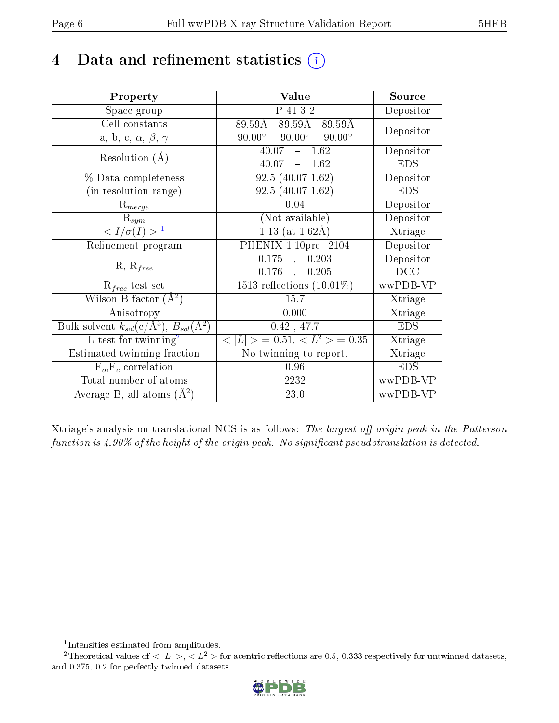## 4 Data and refinement statistics  $(i)$

| Property                                                             | Value                                             | Source                       |
|----------------------------------------------------------------------|---------------------------------------------------|------------------------------|
| Space group                                                          | P 41 3 2                                          | Depositor                    |
| Cell constants                                                       | $89.59\text{\AA} \quad 89.59\text{\AA}$<br>89.59Å | Depositor                    |
| a, b, c, $\alpha$ , $\beta$ , $\gamma$                               | $90.00^\circ$<br>$90.00^\circ$<br>$90.00^{\circ}$ |                              |
| Resolution $(A)$                                                     | $40.07 - 1.62$                                    | Depositor                    |
|                                                                      | $40.07 - 1.62$                                    | <b>EDS</b>                   |
| % Data completeness                                                  | $92.5(40.07-1.62)$                                | Depositor                    |
| (in resolution range)                                                | $92.5(40.07-1.62)$                                | <b>EDS</b>                   |
| $R_{merge}$                                                          | 0.04                                              | Depositor                    |
| $\mathrm{R}_{sym}$                                                   | (Not available)                                   | Depositor                    |
| $\sqrt{I/\sigma(I)} > 1$                                             | $1.13$ (at 1.62Å)                                 | Xtriage                      |
| Refinement program                                                   | PHENIX 1.10pre 2104                               | Depositor                    |
|                                                                      | 0.175<br>, 0.203                                  | Depositor                    |
| $R, R_{free}$                                                        | $0.176$ ,<br>0.205                                | DCC                          |
| $R_{free}$ test set                                                  | 1513 reflections $(10.01\%)$                      | wwPDB-VP                     |
| Wilson B-factor $(A^2)$                                              | 15.7                                              | Xtriage                      |
| Anisotropy                                                           | 0.000                                             | Xtriage                      |
| Bulk solvent $k_{sol}(e/\mathring{A}^3)$ , $B_{sol}(\mathring{A}^2)$ | $0.42$ , 47.7                                     | <b>EDS</b>                   |
| $L$ -test for twinning <sup>2</sup>                                  | $< L >$ = 0.51, $< L2$ = 0.35                     | Xtriage                      |
| Estimated twinning fraction                                          | No twinning to report.                            | $\overline{\text{X}}$ triage |
| $F_o, F_c$ correlation                                               | 0.96                                              | <b>EDS</b>                   |
| Total number of atoms                                                | 2232                                              | wwPDB-VP                     |
| Average B, all atoms $(A^2)$                                         | 23.0                                              | wwPDB-VP                     |

Xtriage's analysis on translational NCS is as follows: The largest off-origin peak in the Patterson function is  $4.90\%$  of the height of the origin peak. No significant pseudotranslation is detected.

<sup>&</sup>lt;sup>2</sup>Theoretical values of  $\langle |L| \rangle$ ,  $\langle L^2 \rangle$  for acentric reflections are 0.5, 0.333 respectively for untwinned datasets, and 0.375, 0.2 for perfectly twinned datasets.



<span id="page-5-1"></span><span id="page-5-0"></span><sup>1</sup> Intensities estimated from amplitudes.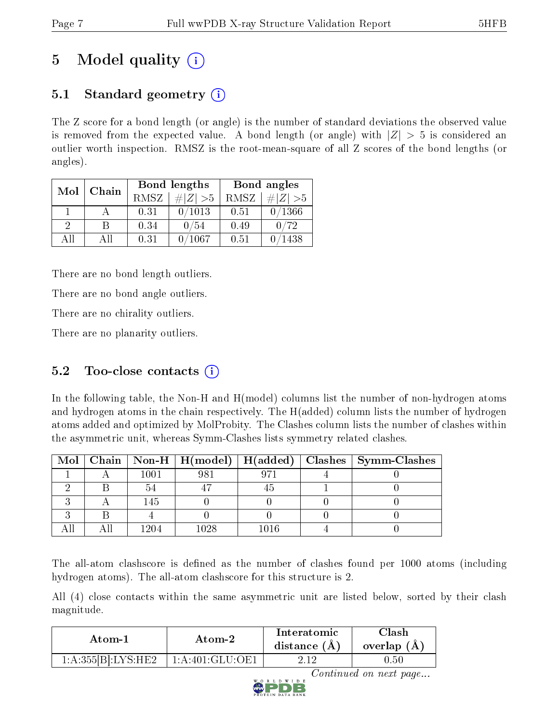# 5 Model quality  $(i)$

## 5.1 Standard geometry  $\overline{()}$

The Z score for a bond length (or angle) is the number of standard deviations the observed value is removed from the expected value. A bond length (or angle) with  $|Z| > 5$  is considered an outlier worth inspection. RMSZ is the root-mean-square of all Z scores of the bond lengths (or angles).

| Mol      | Chain |      | Bond lengths | Bond angles |             |  |
|----------|-------|------|--------------|-------------|-------------|--|
|          |       | RMSZ | $\# Z  > 5$  | RMSZ        | # $ Z  > 5$ |  |
|          |       | 0.31 | 0/1013       | 0.51        | 0/1366      |  |
| $\Omega$ | R     | 0.34 | 0/54         | 0.49        | 0/72        |  |
| AII      | All   | 0.31 | 1067         | 0.51        | 1438        |  |

There are no bond length outliers.

There are no bond angle outliers.

There are no chirality outliers.

There are no planarity outliers.

### $5.2$  Too-close contacts  $(i)$

In the following table, the Non-H and H(model) columns list the number of non-hydrogen atoms and hydrogen atoms in the chain respectively. The H(added) column lists the number of hydrogen atoms added and optimized by MolProbity. The Clashes column lists the number of clashes within the asymmetric unit, whereas Symm-Clashes lists symmetry related clashes.

|  |      |      |          | Mol   Chain   Non-H   H(model)   H(added)   Clashes   Symm-Clashes |
|--|------|------|----------|--------------------------------------------------------------------|
|  | 1001 |      |          |                                                                    |
|  |      |      |          |                                                                    |
|  | 145  |      |          |                                                                    |
|  |      |      |          |                                                                    |
|  | 1204 | 1028 | $1016\,$ |                                                                    |

The all-atom clashscore is defined as the number of clashes found per 1000 atoms (including hydrogen atoms). The all-atom clashscore for this structure is 2.

All (4) close contacts within the same asymmetric unit are listed below, sorted by their clash magnitude.

| Atom-1             | Atom-2            | Interatomic<br>distance $(A)$ | Clash<br>overlap $(A)$ |
|--------------------|-------------------|-------------------------------|------------------------|
| 1:A:355[B]:LYS:HE2 | 1: A:401: GLU:OF1 |                               | .J.50                  |



Continued on next page...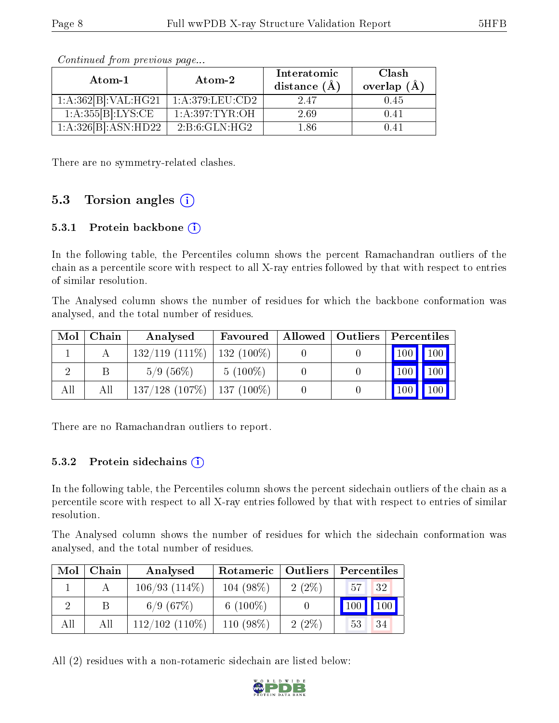| Atom-1                            | Atom-2           | Interatomic<br>distance $(A)$ | Clash<br>overlap $(A)$ |
|-----------------------------------|------------------|-------------------------------|------------------------|
| $1:A:362[B]:VAL: \overline{HG21}$ | 1: A:379:LEU:CD2 | 247                           | 0.45                   |
| 1:A:355[B]:LYS:CE                 | 1: A:397:TYR:OH  | 2.69                          | በ 41                   |
| 1:A:326[B]:ASN:HD22               | 2:B:6:GLN:HG2    | 1 86                          | በ 41                   |

Continued from previous page...

There are no symmetry-related clashes.

### 5.3 Torsion angles  $(i)$

#### 5.3.1 Protein backbone (i)

In the following table, the Percentiles column shows the percent Ramachandran outliers of the chain as a percentile score with respect to all X-ray entries followed by that with respect to entries of similar resolution.

The Analysed column shows the number of residues for which the backbone conformation was analysed, and the total number of residues.

| Mol | ${\bf Chain}$ | Analysed            | Favoured     | Allowed   Outliers | Percentiles      |               |
|-----|---------------|---------------------|--------------|--------------------|------------------|---------------|
|     |               | $132/119$ $(111\%)$ | $132(100\%)$ |                    |                  | $100$   $100$ |
|     |               | $5/9(56\%)$         | $5(100\%)$   |                    | 100 <sub>h</sub> | 100           |
| All | All           | $137/128$ (107\%)   | $137(100\%)$ |                    | 100              | 100           |

There are no Ramachandran outliers to report.

#### 5.3.2 Protein sidechains (i)

In the following table, the Percentiles column shows the percent sidechain outliers of the chain as a percentile score with respect to all X-ray entries followed by that with respect to entries of similar resolution.

The Analysed column shows the number of residues for which the sidechain conformation was analysed, and the total number of residues.

| Mol | Chain | Analysed           | Rotameric   Outliers |          | Percentiles |
|-----|-------|--------------------|----------------------|----------|-------------|
|     |       | $106/93$ $(114\%)$ | $104(98\%)$          | $2(2\%)$ | 32<br>57    |
|     |       | 6/9(67%)           | 6 $(100\%)$          |          | 100         |
| All | All   | $112/102$ (110\%)  | 110 (98%)            | $2(2\%)$ | 34<br>53    |

All (2) residues with a non-rotameric sidechain are listed below:

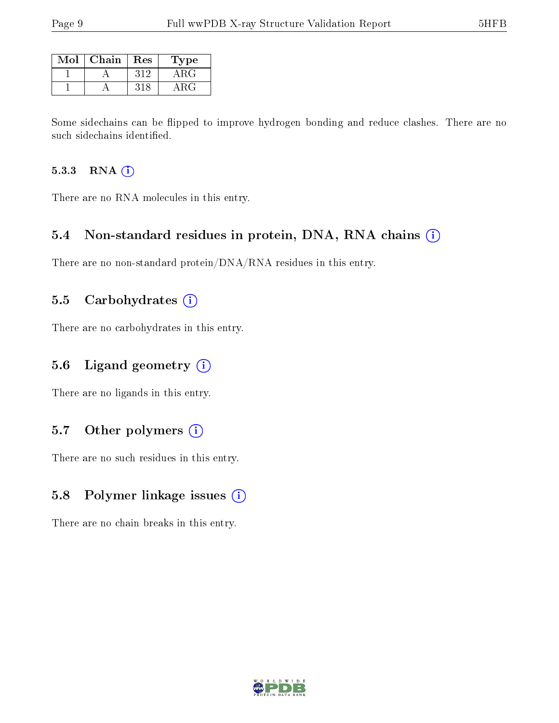| Mol | Chain | Res | <b>Type</b> |
|-----|-------|-----|-------------|
|     |       | 312 | ARG         |
|     |       |     | ◡           |

Some sidechains can be flipped to improve hydrogen bonding and reduce clashes. There are no such sidechains identified.

#### 5.3.3 RNA (i)

There are no RNA molecules in this entry.

### 5.4 Non-standard residues in protein, DNA, RNA chains (i)

There are no non-standard protein/DNA/RNA residues in this entry.

### 5.5 Carbohydrates  $(i)$

There are no carbohydrates in this entry.

### 5.6 Ligand geometry  $(i)$

There are no ligands in this entry.

### 5.7 [O](https://www.wwpdb.org/validation/2017/XrayValidationReportHelp#nonstandard_residues_and_ligands)ther polymers (i)

There are no such residues in this entry.

### 5.8 Polymer linkage issues (i)

There are no chain breaks in this entry.